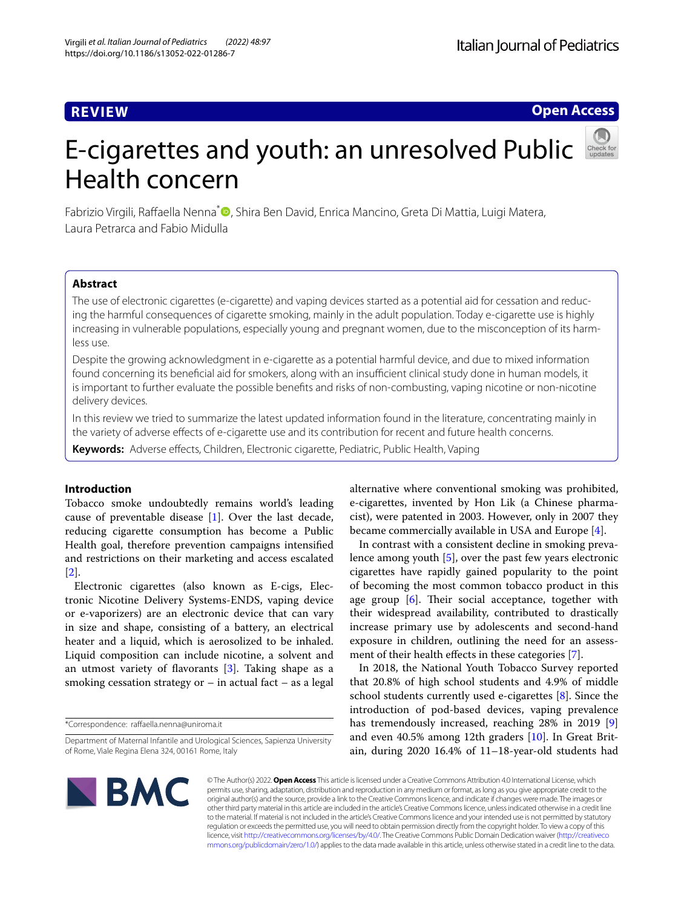## **REVIEW**

**Open Access**

# E-cigarettes and youth: an unresolved Public Health concern

Fabrizio Virgili, Raffaella Nenna<sup>[\\*](http://orcid.org/0000-0001-8880-3462)</sup> , Shira Ben David, Enrica Mancino, Greta Di Mattia, Luigi Matera, Laura Petrarca and Fabio Midulla

## **Abstract**

The use of electronic cigarettes (e-cigarette) and vaping devices started as a potential aid for cessation and reducing the harmful consequences of cigarette smoking, mainly in the adult population. Today e-cigarette use is highly increasing in vulnerable populations, especially young and pregnant women, due to the misconception of its harmless use.

Despite the growing acknowledgment in e-cigarette as a potential harmful device, and due to mixed information found concerning its beneficial aid for smokers, along with an insufficient clinical study done in human models, it is important to further evaluate the possible benefts and risks of non-combusting, vaping nicotine or non-nicotine delivery devices.

In this review we tried to summarize the latest updated information found in the literature, concentrating mainly in the variety of adverse efects of e-cigarette use and its contribution for recent and future health concerns.

**Keywords:** Adverse efects, Children, Electronic cigarette, Pediatric, Public Health, Vaping

## **Introduction**

Tobacco smoke undoubtedly remains world's leading cause of preventable disease [\[1](#page-6-0)]. Over the last decade, reducing cigarette consumption has become a Public Health goal, therefore prevention campaigns intensifed and restrictions on their marketing and access escalated [[2\]](#page-6-1).

Electronic cigarettes (also known as E-cigs, Electronic Nicotine Delivery Systems-ENDS, vaping device or e-vaporizers) are an electronic device that can vary in size and shape, consisting of a battery, an electrical heater and a liquid, which is aerosolized to be inhaled. Liquid composition can include nicotine, a solvent and an utmost variety of favorants [[3\]](#page-6-2). Taking shape as a smoking cessation strategy or – in actual fact – as a legal

\*Correspondence: rafaella.nenna@uniroma.it

alternative where conventional smoking was prohibited, e-cigarettes, invented by Hon Lik (a Chinese pharmacist), were patented in 2003. However, only in 2007 they became commercially available in USA and Europe [[4\]](#page-6-3).

In contrast with a consistent decline in smoking prevalence among youth [[5](#page-6-4)], over the past few years electronic cigarettes have rapidly gained popularity to the point of becoming the most common tobacco product in this age group  $[6]$  $[6]$ . Their social acceptance, together with their widespread availability, contributed to drastically increase primary use by adolescents and second-hand exposure in children, outlining the need for an assess-ment of their health effects in these categories [[7\]](#page-6-6).

In 2018, the National Youth Tobacco Survey reported that 20.8% of high school students and 4.9% of middle school students currently used e-cigarettes [\[8](#page-6-7)]. Since the introduction of pod-based devices, vaping prevalence has tremendously increased, reaching 28% in 2019 [\[9](#page-6-8)] and even 40.5% among 12th graders [[10](#page-6-9)]. In Great Britain, during 2020 16.4% of 11–18-year-old students had



© The Author(s) 2022. **Open Access** This article is licensed under a Creative Commons Attribution 4.0 International License, which permits use, sharing, adaptation, distribution and reproduction in any medium or format, as long as you give appropriate credit to the original author(s) and the source, provide a link to the Creative Commons licence, and indicate if changes were made. The images or other third party material in this article are included in the article's Creative Commons licence, unless indicated otherwise in a credit line to the material. If material is not included in the article's Creative Commons licence and your intended use is not permitted by statutory regulation or exceeds the permitted use, you will need to obtain permission directly from the copyright holder. To view a copy of this licence, visit [http://creativecommons.org/licenses/by/4.0/.](http://creativecommons.org/licenses/by/4.0/) The Creative Commons Public Domain Dedication waiver ([http://creativeco](http://creativecommons.org/publicdomain/zero/1.0/) [mmons.org/publicdomain/zero/1.0/](http://creativecommons.org/publicdomain/zero/1.0/)) applies to the data made available in this article, unless otherwise stated in a credit line to the data.

Department of Maternal Infantile and Urological Sciences, Sapienza University of Rome, Viale Regina Elena 324, 00161 Rome, Italy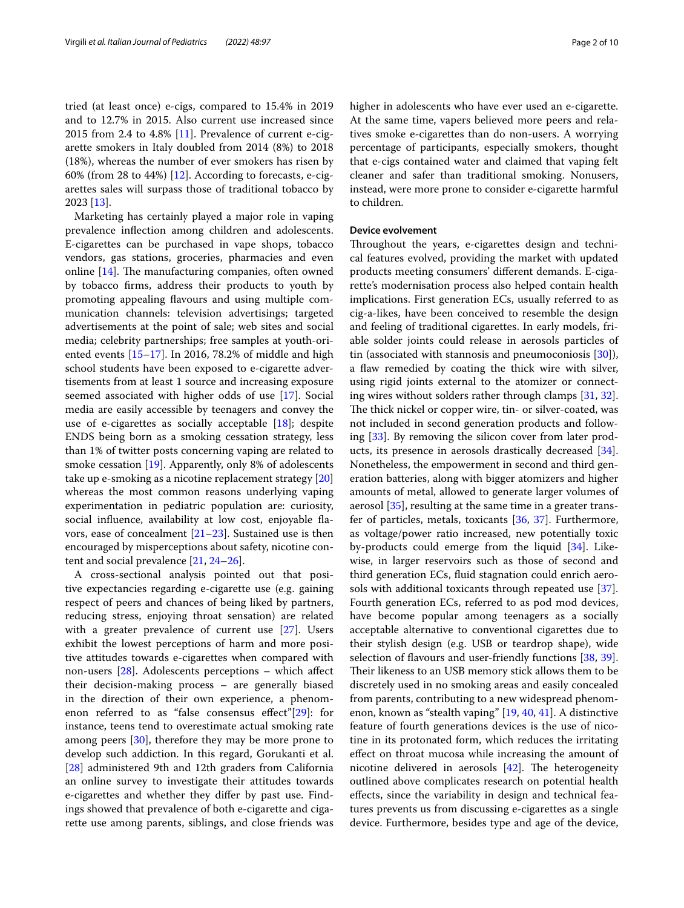tried (at least once) e-cigs, compared to 15.4% in 2019 and to 12.7% in 2015. Also current use increased since 2015 from 2.4 to 4.8% [[11\]](#page-6-10). Prevalence of current e-cigarette smokers in Italy doubled from 2014 (8%) to 2018 (18%), whereas the number of ever smokers has risen by 60% (from 28 to 44%) [\[12](#page-6-11)]. According to forecasts, e-cigarettes sales will surpass those of traditional tobacco by 2023 [[13\]](#page-6-12).

Marketing has certainly played a major role in vaping prevalence infection among children and adolescents. E-cigarettes can be purchased in vape shops, tobacco vendors, gas stations, groceries, pharmacies and even online  $[14]$  $[14]$ . The manufacturing companies, often owned by tobacco frms, address their products to youth by promoting appealing favours and using multiple communication channels: television advertisings; targeted advertisements at the point of sale; web sites and social media; celebrity partnerships; free samples at youth-oriented events [[15–](#page-6-14)[17](#page-6-15)]. In 2016, 78.2% of middle and high school students have been exposed to e-cigarette advertisements from at least 1 source and increasing exposure seemed associated with higher odds of use [[17\]](#page-6-15). Social media are easily accessible by teenagers and convey the use of e-cigarettes as socially acceptable [\[18\]](#page-6-16); despite ENDS being born as a smoking cessation strategy, less than 1% of twitter posts concerning vaping are related to smoke cessation [\[19](#page-6-17)]. Apparently, only 8% of adolescents take up e-smoking as a nicotine replacement strategy [[20](#page-6-18)] whereas the most common reasons underlying vaping experimentation in pediatric population are: curiosity, social infuence, availability at low cost, enjoyable favors, ease of concealment [\[21–](#page-6-19)[23\]](#page-6-20). Sustained use is then encouraged by misperceptions about safety, nicotine content and social prevalence [[21,](#page-6-19) [24](#page-6-21)[–26\]](#page-6-22).

A cross-sectional analysis pointed out that positive expectancies regarding e-cigarette use (e.g. gaining respect of peers and chances of being liked by partners, reducing stress, enjoying throat sensation) are related with a greater prevalence of current use [[27\]](#page-6-23). Users exhibit the lowest perceptions of harm and more positive attitudes towards e-cigarettes when compared with non-users [[28\]](#page-6-24). Adolescents perceptions – which afect their decision-making process – are generally biased in the direction of their own experience, a phenomenon referred to as "false consensus efect"[\[29](#page-6-25)]: for instance, teens tend to overestimate actual smoking rate among peers [\[30](#page-6-26)], therefore they may be more prone to develop such addiction. In this regard, Gorukanti et al. [[28\]](#page-6-24) administered 9th and 12th graders from California an online survey to investigate their attitudes towards e-cigarettes and whether they difer by past use. Findings showed that prevalence of both e-cigarette and cigarette use among parents, siblings, and close friends was higher in adolescents who have ever used an e-cigarette. At the same time, vapers believed more peers and relatives smoke e-cigarettes than do non-users. A worrying percentage of participants, especially smokers, thought that e-cigs contained water and claimed that vaping felt cleaner and safer than traditional smoking. Nonusers, instead, were more prone to consider e-cigarette harmful to children.

## **Device evolvement**

Throughout the years, e-cigarettes design and technical features evolved, providing the market with updated products meeting consumers' diferent demands. E-cigarette's modernisation process also helped contain health implications. First generation ECs, usually referred to as cig-a-likes, have been conceived to resemble the design and feeling of traditional cigarettes. In early models, friable solder joints could release in aerosols particles of tin (associated with stannosis and pneumoconiosis [\[30\]](#page-6-26)), a flaw remedied by coating the thick wire with silver, using rigid joints external to the atomizer or connecting wires without solders rather through clamps [[31](#page-6-27), [32](#page-6-28)]. The thick nickel or copper wire, tin- or silver-coated, was not included in second generation products and following [\[33\]](#page-6-29). By removing the silicon cover from later products, its presence in aerosols drastically decreased [\[34](#page-6-30)]. Nonetheless, the empowerment in second and third generation batteries, along with bigger atomizers and higher amounts of metal, allowed to generate larger volumes of aerosol [[35\]](#page-6-31), resulting at the same time in a greater transfer of particles, metals, toxicants [\[36](#page-6-32), [37\]](#page-6-33). Furthermore, as voltage/power ratio increased, new potentially toxic by-products could emerge from the liquid [\[34](#page-6-30)]. Likewise, in larger reservoirs such as those of second and third generation ECs, fuid stagnation could enrich aerosols with additional toxicants through repeated use [\[37](#page-6-33)]. Fourth generation ECs, referred to as pod mod devices, have become popular among teenagers as a socially acceptable alternative to conventional cigarettes due to their stylish design (e.g. USB or teardrop shape), wide selection of flavours and user-friendly functions [\[38](#page-7-0), [39](#page-7-1)]. Their likeness to an USB memory stick allows them to be discretely used in no smoking areas and easily concealed from parents, contributing to a new widespread phenomenon, known as "stealth vaping" [\[19](#page-6-17), [40,](#page-7-2) [41\]](#page-7-3). A distinctive feature of fourth generations devices is the use of nicotine in its protonated form, which reduces the irritating efect on throat mucosa while increasing the amount of nicotine delivered in aerosols  $[42]$  $[42]$ . The heterogeneity outlined above complicates research on potential health efects, since the variability in design and technical features prevents us from discussing e-cigarettes as a single device. Furthermore, besides type and age of the device,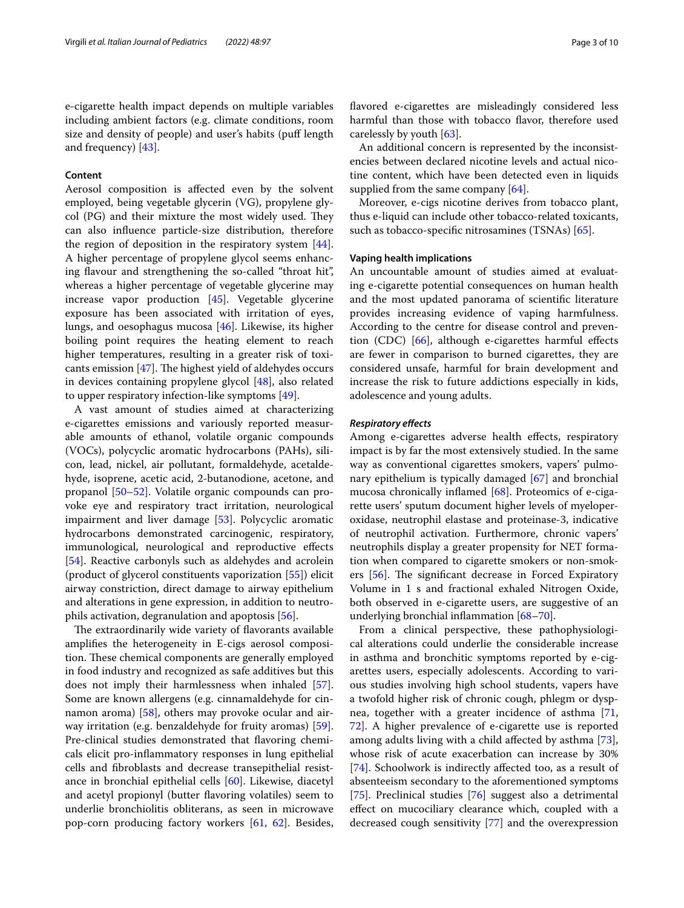#### **Content**

Aerosol composition is afected even by the solvent employed, being vegetable glycerin (VG), propylene gly $col$  (PG) and their mixture the most widely used. They can also infuence particle-size distribution, therefore the region of deposition in the respiratory system [\[44](#page-7-6)]. A higher percentage of propylene glycol seems enhancing flavour and strengthening the so-called "throat hit", whereas a higher percentage of vegetable glycerine may increase vapor production [\[45](#page-7-7)]. Vegetable glycerine exposure has been associated with irritation of eyes, lungs, and oesophagus mucosa [[46](#page-7-8)]. Likewise, its higher boiling point requires the heating element to reach higher temperatures, resulting in a greater risk of toxicants emission  $[47]$ . The highest yield of aldehydes occurs in devices containing propylene glycol [[48\]](#page-7-10), also related to upper respiratory infection-like symptoms [[49\]](#page-7-11).

A vast amount of studies aimed at characterizing e-cigarettes emissions and variously reported measurable amounts of ethanol, volatile organic compounds (VOCs), polycyclic aromatic hydrocarbons (PAHs), silicon, lead, nickel, air pollutant, formaldehyde, acetaldehyde, isoprene, acetic acid, 2-butanodione, acetone, and propanol [\[50](#page-7-12)[–52](#page-7-13)]. Volatile organic compounds can provoke eye and respiratory tract irritation, neurological impairment and liver damage [[53\]](#page-7-14). Polycyclic aromatic hydrocarbons demonstrated carcinogenic, respiratory, immunological, neurological and reproductive efects [[54\]](#page-7-15). Reactive carbonyls such as aldehydes and acrolein (product of glycerol constituents vaporization [[55](#page-7-16)]) elicit airway constriction, direct damage to airway epithelium and alterations in gene expression, in addition to neutrophils activation, degranulation and apoptosis [[56\]](#page-7-17).

The extraordinarily wide variety of flavorants available amplifes the heterogeneity in E-cigs aerosol composition. These chemical components are generally employed in food industry and recognized as safe additives but this does not imply their harmlessness when inhaled [\[57](#page-7-18)]. Some are known allergens (e.g. cinnamaldehyde for cinnamon aroma) [\[58](#page-7-19)], others may provoke ocular and airway irritation (e.g. benzaldehyde for fruity aromas) [\[59](#page-7-20)]. Pre-clinical studies demonstrated that favoring chemicals elicit pro-infammatory responses in lung epithelial cells and fbroblasts and decrease transepithelial resistance in bronchial epithelial cells [[60\]](#page-7-21). Likewise, diacetyl and acetyl propionyl (butter favoring volatiles) seem to underlie bronchiolitis obliterans, as seen in microwave pop-corn producing factory workers [[61](#page-7-22), [62](#page-7-23)]. Besides,

favored e-cigarettes are misleadingly considered less harmful than those with tobacco favor, therefore used carelessly by youth [[63\]](#page-7-24).

An additional concern is represented by the inconsistencies between declared nicotine levels and actual nicotine content, which have been detected even in liquids supplied from the same company [[64](#page-7-25)].

Moreover, e-cigs nicotine derives from tobacco plant, thus e-liquid can include other tobacco-related toxicants, such as tobacco-specifc nitrosamines (TSNAs) [[65](#page-7-26)].

#### **Vaping health implications**

An uncountable amount of studies aimed at evaluating e-cigarette potential consequences on human health and the most updated panorama of scientifc literature provides increasing evidence of vaping harmfulness. According to the centre for disease control and prevention (CDC) [[66](#page-7-27)], although e-cigarettes harmful efects are fewer in comparison to burned cigarettes, they are considered unsafe, harmful for brain development and increase the risk to future addictions especially in kids, adolescence and young adults.

#### *Respiratory efects*

Among e-cigarettes adverse health effects, respiratory impact is by far the most extensively studied. In the same way as conventional cigarettes smokers, vapers' pulmonary epithelium is typically damaged [[67\]](#page-7-28) and bronchial mucosa chronically infamed [[68\]](#page-7-29). Proteomics of e-cigarette users' sputum document higher levels of myeloperoxidase, neutrophil elastase and proteinase-3, indicative of neutrophil activation. Furthermore, chronic vapers' neutrophils display a greater propensity for NET formation when compared to cigarette smokers or non-smokers  $[56]$  $[56]$ . The significant decrease in Forced Expiratory Volume in 1 s and fractional exhaled Nitrogen Oxide, both observed in e-cigarette users, are suggestive of an underlying bronchial infammation [\[68](#page-7-29)–[70\]](#page-7-30).

From a clinical perspective, these pathophysiological alterations could underlie the considerable increase in asthma and bronchitic symptoms reported by e-cigarettes users, especially adolescents. According to various studies involving high school students, vapers have a twofold higher risk of chronic cough, phlegm or dyspnea, together with a greater incidence of asthma [[71](#page-7-31), [72\]](#page-7-32). A higher prevalence of e-cigarette use is reported among adults living with a child afected by asthma [\[73](#page-7-33)], whose risk of acute exacerbation can increase by 30% [[74\]](#page-7-34). Schoolwork is indirectly afected too, as a result of absenteeism secondary to the aforementioned symptoms [[75\]](#page-7-35). Preclinical studies [\[76](#page-7-36)] suggest also a detrimental efect on mucociliary clearance which, coupled with a decreased cough sensitivity [\[77](#page-7-37)] and the overexpression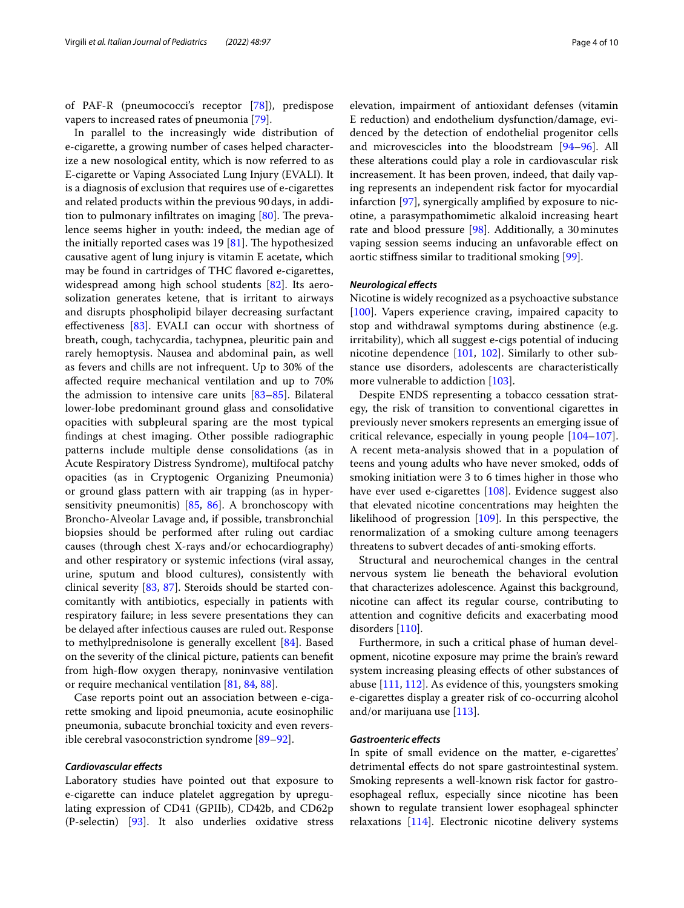of PAF-R (pneumococci's receptor [[78\]](#page-7-38)), predispose vapers to increased rates of pneumonia [[79\]](#page-7-39).

In parallel to the increasingly wide distribution of e-cigarette, a growing number of cases helped characterize a new nosological entity, which is now referred to as E-cigarette or Vaping Associated Lung Injury (EVALI). It is a diagnosis of exclusion that requires use of e-cigarettes and related products within the previous 90days, in addition to pulmonary infiltrates on imaging  $[80]$  $[80]$ . The prevalence seems higher in youth: indeed, the median age of the initially reported cases was  $19$  [[81](#page-7-41)]. The hypothesized causative agent of lung injury is vitamin E acetate, which may be found in cartridges of THC favored e-cigarettes, widespread among high school students [\[82\]](#page-7-42). Its aerosolization generates ketene, that is irritant to airways and disrupts phospholipid bilayer decreasing surfactant efectiveness [\[83](#page-8-0)]. EVALI can occur with shortness of breath, cough, tachycardia, tachypnea, pleuritic pain and rarely hemoptysis. Nausea and abdominal pain, as well as fevers and chills are not infrequent. Up to 30% of the afected require mechanical ventilation and up to 70% the admission to intensive care units  $[83-85]$  $[83-85]$  $[83-85]$ . Bilateral lower-lobe predominant ground glass and consolidative opacities with subpleural sparing are the most typical fndings at chest imaging. Other possible radiographic patterns include multiple dense consolidations (as in Acute Respiratory Distress Syndrome), multifocal patchy opacities (as in Cryptogenic Organizing Pneumonia) or ground glass pattern with air trapping (as in hypersensitivity pneumonitis) [\[85,](#page-8-1) [86](#page-8-2)]. A bronchoscopy with Broncho-Alveolar Lavage and, if possible, transbronchial biopsies should be performed after ruling out cardiac causes (through chest X-rays and/or echocardiography) and other respiratory or systemic infections (viral assay, urine, sputum and blood cultures), consistently with clinical severity [\[83,](#page-8-0) [87](#page-8-3)]. Steroids should be started concomitantly with antibiotics, especially in patients with respiratory failure; in less severe presentations they can be delayed after infectious causes are ruled out. Response to methylprednisolone is generally excellent [\[84](#page-8-4)]. Based on the severity of the clinical picture, patients can beneft from high-fow oxygen therapy, noninvasive ventilation or require mechanical ventilation [[81,](#page-7-41) [84](#page-8-4), [88\]](#page-8-5).

Case reports point out an association between e-cigarette smoking and lipoid pneumonia, acute eosinophilic pneumonia, subacute bronchial toxicity and even reversible cerebral vasoconstriction syndrome [\[89](#page-8-6)–[92\]](#page-8-7).

#### *Cardiovascular efects*

Laboratory studies have pointed out that exposure to e-cigarette can induce platelet aggregation by upregulating expression of CD41 (GPIIb), CD42b, and CD62p (P-selectin) [[93\]](#page-8-8). It also underlies oxidative stress elevation, impairment of antioxidant defenses (vitamin E reduction) and endothelium dysfunction/damage, evidenced by the detection of endothelial progenitor cells and microvescicles into the bloodstream [\[94](#page-8-9)–[96\]](#page-8-10). All these alterations could play a role in cardiovascular risk increasement. It has been proven, indeed, that daily vaping represents an independent risk factor for myocardial infarction [[97\]](#page-8-11), synergically amplifed by exposure to nicotine, a parasympathomimetic alkaloid increasing heart rate and blood pressure [[98](#page-8-12)]. Additionally, a 30minutes vaping session seems inducing an unfavorable efect on aortic stifness similar to traditional smoking [[99\]](#page-8-13).

#### *Neurological efects*

Nicotine is widely recognized as a psychoactive substance [[100\]](#page-8-14). Vapers experience craving, impaired capacity to stop and withdrawal symptoms during abstinence (e.g. irritability), which all suggest e-cigs potential of inducing nicotine dependence [[101,](#page-8-15) [102\]](#page-8-16). Similarly to other substance use disorders, adolescents are characteristically more vulnerable to addiction [\[103](#page-8-17)].

Despite ENDS representing a tobacco cessation strategy, the risk of transition to conventional cigarettes in previously never smokers represents an emerging issue of critical relevance, especially in young people [[104](#page-8-18)[–107](#page-8-19)]. A recent meta-analysis showed that in a population of teens and young adults who have never smoked, odds of smoking initiation were 3 to 6 times higher in those who have ever used e-cigarettes [[108\]](#page-8-20). Evidence suggest also that elevated nicotine concentrations may heighten the likelihood of progression [[109](#page-8-21)]. In this perspective, the renormalization of a smoking culture among teenagers threatens to subvert decades of anti-smoking eforts.

Structural and neurochemical changes in the central nervous system lie beneath the behavioral evolution that characterizes adolescence. Against this background, nicotine can afect its regular course, contributing to attention and cognitive deficits and exacerbating mood disorders [\[110\]](#page-8-22).

Furthermore, in such a critical phase of human development, nicotine exposure may prime the brain's reward system increasing pleasing efects of other substances of abuse [\[111](#page-8-23), [112\]](#page-8-24). As evidence of this, youngsters smoking e-cigarettes display a greater risk of co-occurring alcohol and/or marijuana use [[113](#page-8-25)].

## *Gastroenteric efects*

In spite of small evidence on the matter, e-cigarettes' detrimental efects do not spare gastrointestinal system. Smoking represents a well-known risk factor for gastroesophageal refux, especially since nicotine has been shown to regulate transient lower esophageal sphincter relaxations [[114\]](#page-8-26). Electronic nicotine delivery systems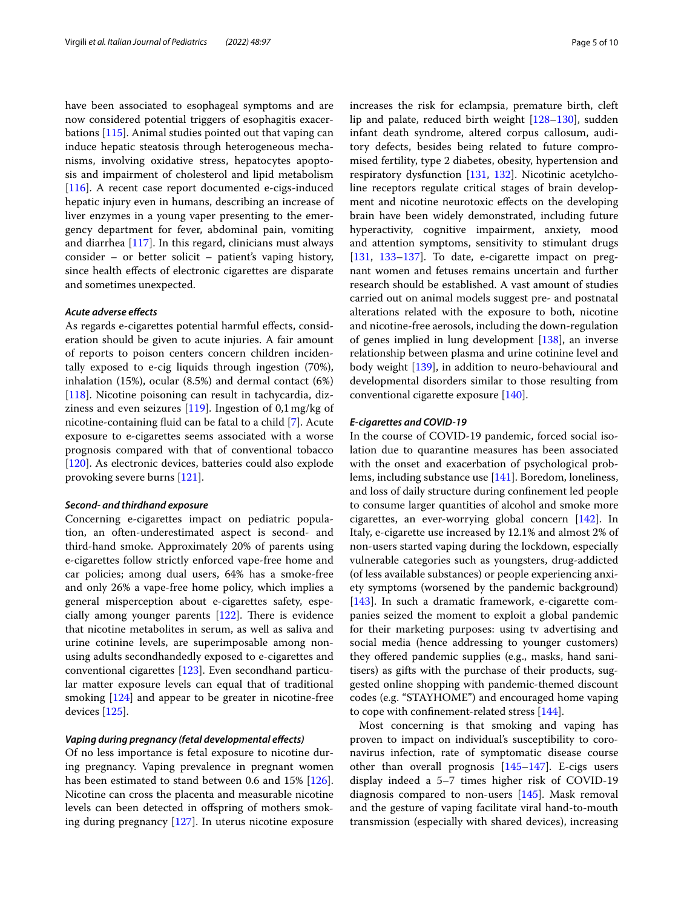have been associated to esophageal symptoms and are now considered potential triggers of esophagitis exacerbations [\[115\]](#page-8-27). Animal studies pointed out that vaping can induce hepatic steatosis through heterogeneous mechanisms, involving oxidative stress, hepatocytes apoptosis and impairment of cholesterol and lipid metabolism [[116\]](#page-8-28). A recent case report documented e-cigs-induced hepatic injury even in humans, describing an increase of liver enzymes in a young vaper presenting to the emergency department for fever, abdominal pain, vomiting and diarrhea [\[117\]](#page-8-29). In this regard, clinicians must always consider – or better solicit – patient's vaping history, since health efects of electronic cigarettes are disparate and sometimes unexpected.

#### *Acute adverse efects*

As regards e-cigarettes potential harmful efects, consideration should be given to acute injuries. A fair amount of reports to poison centers concern children incidentally exposed to e-cig liquids through ingestion (70%), inhalation (15%), ocular (8.5%) and dermal contact (6%) [[118\]](#page-8-30). Nicotine poisoning can result in tachycardia, dizziness and even seizures  $[119]$ . Ingestion of 0,1 mg/kg of nicotine-containing fuid can be fatal to a child [\[7](#page-6-6)]. Acute exposure to e-cigarettes seems associated with a worse prognosis compared with that of conventional tobacco [[120\]](#page-8-32). As electronic devices, batteries could also explode provoking severe burns [[121](#page-8-33)].

#### *Second‑ and thirdhand exposure*

Concerning e-cigarettes impact on pediatric population, an often-underestimated aspect is second- and third-hand smoke. Approximately 20% of parents using e-cigarettes follow strictly enforced vape-free home and car policies; among dual users, 64% has a smoke-free and only 26% a vape-free home policy, which implies a general misperception about e-cigarettes safety, especially among younger parents  $[122]$  $[122]$ . There is evidence that nicotine metabolites in serum, as well as saliva and urine cotinine levels, are superimposable among nonusing adults secondhandedly exposed to e-cigarettes and conventional cigarettes [\[123](#page-8-35)]. Even secondhand particular matter exposure levels can equal that of traditional smoking [\[124\]](#page-8-36) and appear to be greater in nicotine-free devices [\[125\]](#page-8-37).

## *Vaping during pregnancy (fetal developmental efects)*

Of no less importance is fetal exposure to nicotine during pregnancy. Vaping prevalence in pregnant women has been estimated to stand between 0.6 and 15% [\[126](#page-8-38)]. Nicotine can cross the placenta and measurable nicotine levels can been detected in ofspring of mothers smoking during pregnancy [\[127](#page-8-39)]. In uterus nicotine exposure increases the risk for eclampsia, premature birth, cleft lip and palate, reduced birth weight [\[128–](#page-8-40)[130\]](#page-9-0), sudden infant death syndrome, altered corpus callosum, auditory defects, besides being related to future compromised fertility, type 2 diabetes, obesity, hypertension and respiratory dysfunction [\[131](#page-9-1), [132\]](#page-9-2). Nicotinic acetylcholine receptors regulate critical stages of brain development and nicotine neurotoxic efects on the developing brain have been widely demonstrated, including future hyperactivity, cognitive impairment, anxiety, mood and attention symptoms, sensitivity to stimulant drugs [[131,](#page-9-1) [133](#page-9-3)[–137\]](#page-9-4). To date, e-cigarette impact on pregnant women and fetuses remains uncertain and further research should be established. A vast amount of studies carried out on animal models suggest pre- and postnatal alterations related with the exposure to both, nicotine and nicotine-free aerosols, including the down-regulation of genes implied in lung development [[138\]](#page-9-5), an inverse relationship between plasma and urine cotinine level and body weight [[139](#page-9-6)], in addition to neuro-behavioural and developmental disorders similar to those resulting from conventional cigarette exposure [[140\]](#page-9-7).

#### *E‑cigarettes and COVID‑19*

In the course of COVID-19 pandemic, forced social isolation due to quarantine measures has been associated with the onset and exacerbation of psychological problems, including substance use [[141](#page-9-8)]. Boredom, loneliness, and loss of daily structure during confnement led people to consume larger quantities of alcohol and smoke more cigarettes, an ever-worrying global concern [[142\]](#page-9-9). In Italy, e-cigarette use increased by 12.1% and almost 2% of non-users started vaping during the lockdown, especially vulnerable categories such as youngsters, drug-addicted (of less available substances) or people experiencing anxiety symptoms (worsened by the pandemic background) [[143\]](#page-9-10). In such a dramatic framework, e-cigarette companies seized the moment to exploit a global pandemic for their marketing purposes: using tv advertising and social media (hence addressing to younger customers) they offered pandemic supplies (e.g., masks, hand sanitisers) as gifts with the purchase of their products, suggested online shopping with pandemic-themed discount codes (e.g. "STAYHOME") and encouraged home vaping to cope with confnement-related stress [\[144](#page-9-11)].

Most concerning is that smoking and vaping has proven to impact on individual's susceptibility to coronavirus infection, rate of symptomatic disease course other than overall prognosis [[145](#page-9-12)[–147](#page-9-13)]. E-cigs users display indeed a 5–7 times higher risk of COVID-19 diagnosis compared to non-users [\[145\]](#page-9-12). Mask removal and the gesture of vaping facilitate viral hand-to-mouth transmission (especially with shared devices), increasing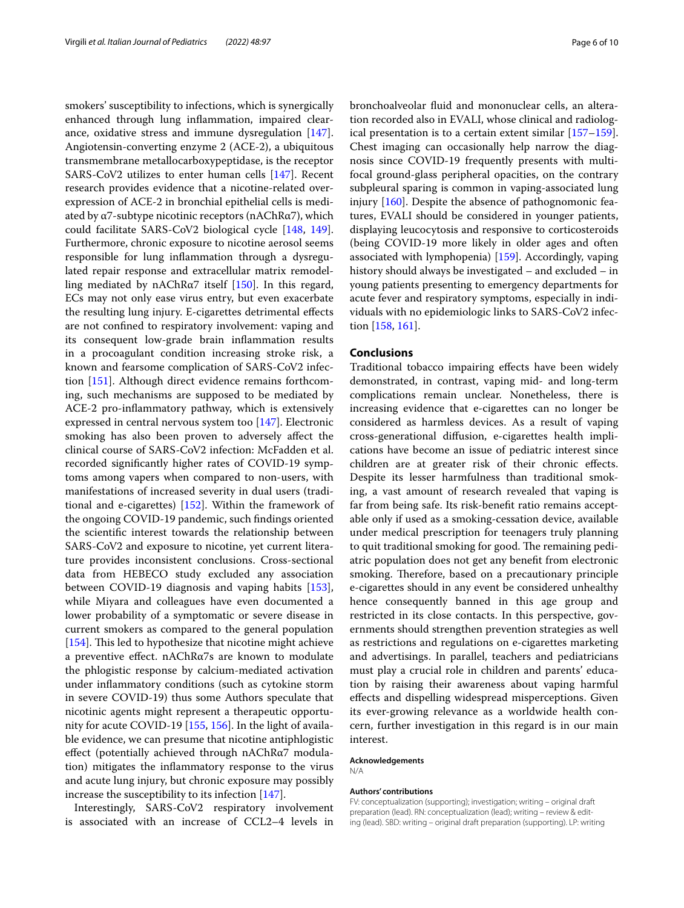smokers' susceptibility to infections, which is synergically enhanced through lung infammation, impaired clearance, oxidative stress and immune dysregulation [\[147](#page-9-13)]. Angiotensin-converting enzyme 2 (ACE-2), a ubiquitous transmembrane metallocarboxypeptidase, is the receptor SARS-CoV2 utilizes to enter human cells [\[147](#page-9-13)]. Recent research provides evidence that a nicotine-related overexpression of ACE-2 in bronchial epithelial cells is mediated by  $\alpha$ 7-subtype nicotinic receptors (nAChR $\alpha$ 7), which could facilitate SARS-CoV2 biological cycle [\[148,](#page-9-14) [149](#page-9-15)]. Furthermore, chronic exposure to nicotine aerosol seems responsible for lung infammation through a dysregulated repair response and extracellular matrix remodelling mediated by nAChR $\alpha$ 7 itself [\[150\]](#page-9-16). In this regard, ECs may not only ease virus entry, but even exacerbate the resulting lung injury. E-cigarettes detrimental efects are not confned to respiratory involvement: vaping and its consequent low-grade brain infammation results in a procoagulant condition increasing stroke risk, a known and fearsome complication of SARS-CoV2 infection [[151\]](#page-9-17). Although direct evidence remains forthcoming, such mechanisms are supposed to be mediated by ACE-2 pro-infammatory pathway, which is extensively expressed in central nervous system too [\[147\]](#page-9-13). Electronic smoking has also been proven to adversely afect the clinical course of SARS-CoV2 infection: McFadden et al. recorded signifcantly higher rates of COVID-19 symptoms among vapers when compared to non-users, with manifestations of increased severity in dual users (traditional and e-cigarettes) [\[152](#page-9-18)]. Within the framework of the ongoing COVID-19 pandemic, such fndings oriented the scientifc interest towards the relationship between SARS-CoV2 and exposure to nicotine, yet current literature provides inconsistent conclusions. Cross-sectional data from HEBECO study excluded any association between COVID-19 diagnosis and vaping habits [\[153](#page-9-19)], while Miyara and colleagues have even documented a lower probability of a symptomatic or severe disease in current smokers as compared to the general population [[154\]](#page-9-20). This led to hypothesize that nicotine might achieve a preventive efect. nAChRα7s are known to modulate the phlogistic response by calcium-mediated activation under infammatory conditions (such as cytokine storm in severe COVID-19) thus some Authors speculate that nicotinic agents might represent a therapeutic opportunity for acute COVID-19 [\[155,](#page-9-21) [156](#page-9-22)]. In the light of available evidence, we can presume that nicotine antiphlogistic effect (potentially achieved through nAChRα7 modulation) mitigates the infammatory response to the virus and acute lung injury, but chronic exposure may possibly increase the susceptibility to its infection [[147\]](#page-9-13).

Interestingly, SARS-CoV2 respiratory involvement is associated with an increase of CCL2–4 levels in bronchoalveolar fuid and mononuclear cells, an alteration recorded also in EVALI, whose clinical and radiological presentation is to a certain extent similar [[157](#page-9-23)[–159](#page-9-24)]. Chest imaging can occasionally help narrow the diagnosis since COVID-19 frequently presents with multifocal ground-glass peripheral opacities, on the contrary subpleural sparing is common in vaping-associated lung injury [\[160](#page-9-25)]. Despite the absence of pathognomonic features, EVALI should be considered in younger patients, displaying leucocytosis and responsive to corticosteroids (being COVID-19 more likely in older ages and often associated with lymphopenia) [\[159\]](#page-9-24). Accordingly, vaping history should always be investigated – and excluded – in young patients presenting to emergency departments for acute fever and respiratory symptoms, especially in individuals with no epidemiologic links to SARS-CoV2 infection [[158](#page-9-26), [161\]](#page-9-27).

#### **Conclusions**

Traditional tobacco impairing efects have been widely demonstrated, in contrast, vaping mid- and long-term complications remain unclear. Nonetheless, there is increasing evidence that e-cigarettes can no longer be considered as harmless devices. As a result of vaping cross-generational difusion, e-cigarettes health implications have become an issue of pediatric interest since children are at greater risk of their chronic efects. Despite its lesser harmfulness than traditional smoking, a vast amount of research revealed that vaping is far from being safe. Its risk-beneft ratio remains acceptable only if used as a smoking-cessation device, available under medical prescription for teenagers truly planning to quit traditional smoking for good. The remaining pediatric population does not get any beneft from electronic smoking. Therefore, based on a precautionary principle e-cigarettes should in any event be considered unhealthy hence consequently banned in this age group and restricted in its close contacts. In this perspective, governments should strengthen prevention strategies as well as restrictions and regulations on e-cigarettes marketing and advertisings. In parallel, teachers and pediatricians must play a crucial role in children and parents' education by raising their awareness about vaping harmful efects and dispelling widespread misperceptions. Given its ever-growing relevance as a worldwide health concern, further investigation in this regard is in our main interest.

#### **Acknowledgements**

N/A

## **Authors' contributions**

FV: conceptualization (supporting); investigation; writing – original draft preparation (lead). RN: conceptualization (lead); writing – review & editing (lead). SBD: writing – original draft preparation (supporting). LP: writing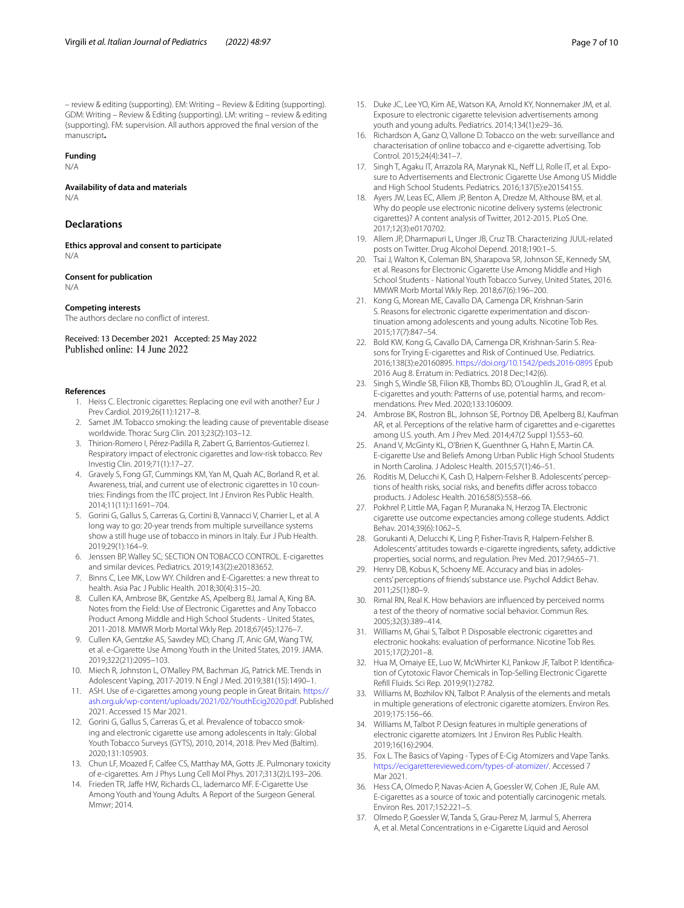## **Funding**

N/A

**Availability of data and materials** N/A

## **Declarations**

**Ethics approval and consent to participate** N/A

## **Consent for publication**

N/A

#### **Competing interests**

The authors declare no confict of interest.

Received: 13 December 2021 Accepted: 25 May 2022

#### <span id="page-6-0"></span>**References**

- 1. Heiss C. Electronic cigarettes: Replacing one evil with another? Eur J Prev Cardiol. 2019;26(11):1217–8.
- <span id="page-6-1"></span>2. Samet JM. Tobacco smoking: the leading cause of preventable disease worldwide. Thorac Surg Clin. 2013;23(2):103–12.
- <span id="page-6-2"></span>3. Thirion-Romero I, Pérez-Padilla R, Zabert G, Barrientos-Gutierrez I. Respiratory impact of electronic cigarettes and low-risk tobacco. Rev Investig Clin. 2019;71(1):17–27.
- <span id="page-6-3"></span>4. Gravely S, Fong GT, Cummings KM, Yan M, Quah AC, Borland R, et al. Awareness, trial, and current use of electronic cigarettes in 10 countries: Findings from the ITC project. Int J Environ Res Public Health. 2014;11(11):11691–704.
- <span id="page-6-4"></span>5. Gorini G, Gallus S, Carreras G, Cortini B, Vannacci V, Charrier L, et al. A long way to go: 20-year trends from multiple surveillance systems show a still huge use of tobacco in minors in Italy. Eur J Pub Health. 2019;29(1):164–9.
- <span id="page-6-5"></span>6. Jenssen BP, Walley SC; SECTION ON TOBACCO CONTROL. E-cigarettes and similar devices. Pediatrics. 2019;143(2):e20183652.
- <span id="page-6-6"></span>7. Binns C, Lee MK, Low WY. Children and E-Cigarettes: a new threat to health. Asia Pac J Public Health. 2018;30(4):315–20.
- <span id="page-6-7"></span>8. Cullen KA, Ambrose BK, Gentzke AS, Apelberg BJ, Jamal A, King BA. Notes from the Field: Use of Electronic Cigarettes and Any Tobacco Product Among Middle and High School Students - United States, 2011-2018. MMWR Morb Mortal Wkly Rep. 2018;67(45):1276–7.
- <span id="page-6-8"></span>9. Cullen KA, Gentzke AS, Sawdey MD, Chang JT, Anic GM, Wang TW, et al. e-Cigarette Use Among Youth in the United States, 2019. JAMA. 2019;322(21):2095–103.
- <span id="page-6-9"></span>10. Miech R, Johnston L, O'Malley PM, Bachman JG, Patrick ME. Trends in Adolescent Vaping, 2017-2019. N Engl J Med. 2019;381(15):1490–1.
- <span id="page-6-10"></span>11. ASH. Use of e-cigarettes among young people in Great Britain. [https://](https://ash.org.uk/wp-content/uploads/2021/02/YouthEcig2020.pdf) [ash.org.uk/wp-content/uploads/2021/02/YouthEcig2020.pdf](https://ash.org.uk/wp-content/uploads/2021/02/YouthEcig2020.pdf). Published 2021. Accessed 15 Mar 2021.
- <span id="page-6-11"></span>12. Gorini G, Gallus S, Carreras G, et al. Prevalence of tobacco smoking and electronic cigarette use among adolescents in Italy: Global Youth Tobacco Surveys (GYTS), 2010, 2014, 2018. Prev Med (Baltim). 2020;131:105903.
- <span id="page-6-12"></span>13. Chun LF, Moazed F, Calfee CS, Matthay MA, Gotts JE. Pulmonary toxicity of e-cigarettes. Am J Phys Lung Cell Mol Phys. 2017;313(2):L193–206.
- <span id="page-6-13"></span>14. Frieden TR, Jaffe HW, Richards CL, Iademarco MF. E-Cigarette Use Among Youth and Young Adults. A Report of the Surgeon General. Mmwr; 2014.
- <span id="page-6-14"></span>15. Duke JC, Lee YO, Kim AE, Watson KA, Arnold KY, Nonnemaker JM, et al. Exposure to electronic cigarette television advertisements among youth and young adults. Pediatrics. 2014;134(1):e29–36.
- 16. Richardson A, Ganz O, Vallone D. Tobacco on the web: surveillance and characterisation of online tobacco and e-cigarette advertising. Tob Control. 2015;24(4):341–7.
- <span id="page-6-15"></span>17. Singh T, Agaku IT, Arrazola RA, Marynak KL, Neff LJ, Rolle IT, et al. Exposure to Advertisements and Electronic Cigarette Use Among US Middle and High School Students. Pediatrics. 2016;137(5):e20154155.
- <span id="page-6-16"></span>18. Ayers JW, Leas EC, Allem JP, Benton A, Dredze M, Althouse BM, et al. Why do people use electronic nicotine delivery systems (electronic cigarettes)? A content analysis of Twitter, 2012-2015. PLoS One. 2017;12(3):e0170702.
- <span id="page-6-17"></span>19. Allem JP, Dharmapuri L, Unger JB, Cruz TB. Characterizing JUUL-related posts on Twitter. Drug Alcohol Depend. 2018;190:1–5.
- <span id="page-6-18"></span>20. Tsai J, Walton K, Coleman BN, Sharapova SR, Johnson SE, Kennedy SM, et al. Reasons for Electronic Cigarette Use Among Middle and High School Students - National Youth Tobacco Survey, United States, 2016. MMWR Morb Mortal Wkly Rep. 2018;67(6):196–200.
- <span id="page-6-19"></span>21. Kong G, Morean ME, Cavallo DA, Camenga DR, Krishnan-Sarin S. Reasons for electronic cigarette experimentation and discontinuation among adolescents and young adults. Nicotine Tob Res. 2015;17(7):847–54.
- 22. Bold KW, Kong G, Cavallo DA, Camenga DR, Krishnan-Sarin S. Reasons for Trying E-cigarettes and Risk of Continued Use. Pediatrics. 2016;138(3):e20160895.<https://doi.org/10.1542/peds.2016-0895> Epub 2016 Aug 8. Erratum in: Pediatrics. 2018 Dec;142(6).
- <span id="page-6-20"></span>23. Singh S, Windle SB, Filion KB, Thombs BD, O'Loughlin JL, Grad R, et al. E-cigarettes and youth: Patterns of use, potential harms, and recommendations. Prev Med. 2020;133:106009.
- <span id="page-6-21"></span>24. Ambrose BK, Rostron BL, Johnson SE, Portnoy DB, Apelberg BJ, Kaufman AR, et al. Perceptions of the relative harm of cigarettes and e-cigarettes among U.S. youth. Am J Prev Med. 2014;47(2 Suppl 1):S53–60.
- 25. Anand V, McGinty KL, O'Brien K, Guenthner G, Hahn E, Martin CA. E-cigarette Use and Beliefs Among Urban Public High School Students in North Carolina. J Adolesc Health. 2015;57(1):46–51.
- <span id="page-6-22"></span>26. Roditis M, Delucchi K, Cash D, Halpern-Felsher B. Adolescents' perceptions of health risks, social risks, and benefts difer across tobacco products. J Adolesc Health. 2016;58(5):558–66.
- <span id="page-6-23"></span>27. Pokhrel P, Little MA, Fagan P, Muranaka N, Herzog TA. Electronic cigarette use outcome expectancies among college students. Addict Behav. 2014;39(6):1062–5.
- <span id="page-6-24"></span>28. Gorukanti A, Delucchi K, Ling P, Fisher-Travis R, Halpern-Felsher B. Adolescents' attitudes towards e-cigarette ingredients, safety, addictive properties, social norms, and regulation. Prev Med. 2017;94:65–71.
- <span id="page-6-25"></span>29. Henry DB, Kobus K, Schoeny ME. Accuracy and bias in adolescents' perceptions of friends' substance use. Psychol Addict Behav. 2011;25(1):80–9.
- <span id="page-6-26"></span>30. Rimal RN, Real K. How behaviors are infuenced by perceived norms a test of the theory of normative social behavior. Commun Res. 2005;32(3):389–414.
- <span id="page-6-27"></span>31. Williams M, Ghai S, Talbot P. Disposable electronic cigarettes and electronic hookahs: evaluation of performance. Nicotine Tob Res. 2015;17(2):201–8.
- <span id="page-6-28"></span>32. Hua M, Omaiye EE, Luo W, McWhirter KJ, Pankow JF, Talbot P. Identifcation of Cytotoxic Flavor Chemicals in Top-Selling Electronic Cigarette Refll Fluids. Sci Rep. 2019;9(1):2782.
- <span id="page-6-29"></span>33. Williams M, Bozhilov KN, Talbot P. Analysis of the elements and metals in multiple generations of electronic cigarette atomizers. Environ Res. 2019;175:156–66.
- <span id="page-6-30"></span>34. Williams M, Talbot P. Design features in multiple generations of electronic cigarette atomizers. Int J Environ Res Public Health. 2019;16(16):2904.
- <span id="page-6-31"></span>35. Fox L. The Basics of Vaping - Types of E-Cig Atomizers and Vape Tanks. <https://ecigarettereviewed.com/types-of-atomizer/>. Accessed 7 Mar 2021.
- <span id="page-6-32"></span>36. Hess CA, Olmedo P, Navas-Acien A, Goessler W, Cohen JE, Rule AM. E-cigarettes as a source of toxic and potentially carcinogenic metals. Environ Res. 2017;152:221–5.
- <span id="page-6-33"></span>37. Olmedo P, Goessler W, Tanda S, Grau-Perez M, Jarmul S, Aherrera A, et al. Metal Concentrations in e-Cigarette Liquid and Aerosol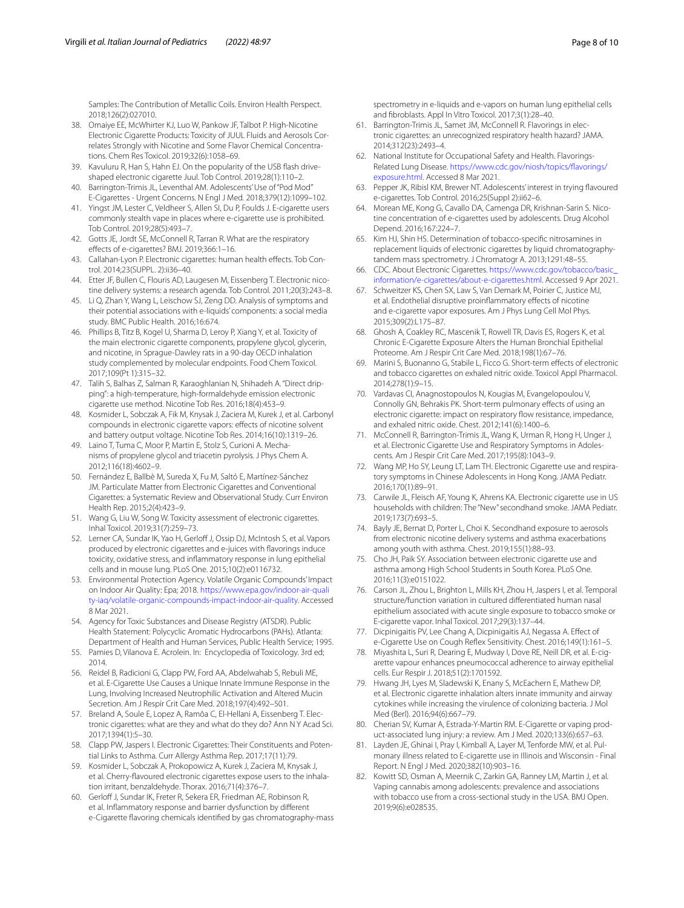Samples: The Contribution of Metallic Coils. Environ Health Perspect. 2018;126(2):027010.

- <span id="page-7-0"></span>38. Omaiye EE, McWhirter KJ, Luo W, Pankow JF, Talbot P. High-Nicotine Electronic Cigarette Products: Toxicity of JUUL Fluids and Aerosols Correlates Strongly with Nicotine and Some Flavor Chemical Concentrations. Chem Res Toxicol. 2019;32(6):1058–69.
- <span id="page-7-1"></span>39. Kavuluru R, Han S, Hahn EJ. On the popularity of the USB fash driveshaped electronic cigarette Juul. Tob Control. 2019;28(1):110–2.
- <span id="page-7-2"></span>40. Barrington-Trimis JL, Leventhal AM. Adolescents' Use of "Pod Mod" E-Cigarettes - Urgent Concerns. N Engl J Med. 2018;379(12):1099–102.
- <span id="page-7-3"></span>41. Yingst JM, Lester C, Veldheer S, Allen SI, Du P, Foulds J. E-cigarette users commonly stealth vape in places where e-cigarette use is prohibited. Tob Control. 2019;28(5):493–7.
- <span id="page-7-4"></span>42. Gotts JE, Jordt SE, McConnell R, Tarran R. What are the respiratory efects of e-cigarettes? BMJ. 2019;366:1–16.
- <span id="page-7-5"></span>43. Callahan-Lyon P. Electronic cigarettes: human health efects. Tob Control. 2014;23(SUPPL. 2):ii36–40.
- <span id="page-7-6"></span>44. Etter JF, Bullen C, Flouris AD, Laugesen M, Eissenberg T. Electronic nicotine delivery systems: a research agenda. Tob Control. 2011;20(3):243–8.
- <span id="page-7-7"></span>45. Li Q, Zhan Y, Wang L, Leischow SJ, Zeng DD. Analysis of symptoms and their potential associations with e-liquids' components: a social media study. BMC Public Health. 2016;16:674.
- <span id="page-7-8"></span>46. Phillips B, Titz B, Kogel U, Sharma D, Leroy P, Xiang Y, et al. Toxicity of the main electronic cigarette components, propylene glycol, glycerin, and nicotine, in Sprague-Dawley rats in a 90-day OECD inhalation study complemented by molecular endpoints. Food Chem Toxicol. 2017;109(Pt 1):315–32.
- <span id="page-7-9"></span>47. Talih S, Balhas Z, Salman R, Karaoghlanian N, Shihadeh A. "Direct dripping": a high-temperature, high-formaldehyde emission electronic cigarette use method. Nicotine Tob Res. 2016;18(4):453–9.
- <span id="page-7-10"></span>48. Kosmider L, Sobczak A, Fik M, Knysak J, Zaciera M, Kurek J, et al. Carbonyl compounds in electronic cigarette vapors: efects of nicotine solvent and battery output voltage. Nicotine Tob Res. 2014;16(10):1319–26.
- <span id="page-7-11"></span>49. Laino T, Tuma C, Moor P, Martin E, Stolz S, Curioni A. Mechanisms of propylene glycol and triacetin pyrolysis. J Phys Chem A. 2012;116(18):4602–9.
- <span id="page-7-12"></span>50. Fernández E, Ballbè M, Sureda X, Fu M, Saltó E, Martínez-Sánchez JM. Particulate Matter from Electronic Cigarettes and Conventional Cigarettes: a Systematic Review and Observational Study. Curr Environ Health Rep. 2015;2(4):423–9.
- 51. Wang G, Liu W, Song W. Toxicity assessment of electronic cigarettes. Inhal Toxicol. 2019;31(7):259–73.
- <span id="page-7-13"></span>52. Lerner CA, Sundar IK, Yao H, Gerlof J, Ossip DJ, McIntosh S, et al. Vapors produced by electronic cigarettes and e-juices with favorings induce toxicity, oxidative stress, and infammatory response in lung epithelial cells and in mouse lung. PLoS One. 2015;10(2):e0116732.
- <span id="page-7-14"></span>53. Environmental Protection Agency. Volatile Organic Compounds' Impact on Indoor Air Quality: Epa; 2018. [https://www.epa.gov/indoor-air-quali](https://www.epa.gov/indoor-air-quality-iaq/volatile-organic-compounds-impact-indoor-air-quality) [ty-iaq/volatile-organic-compounds-impact-indoor-air-quality](https://www.epa.gov/indoor-air-quality-iaq/volatile-organic-compounds-impact-indoor-air-quality). Accessed 8 Mar 2021.
- <span id="page-7-15"></span>54. Agency for Toxic Substances and Disease Registry (ATSDR). Public Health Statement: Polycyclic Aromatic Hydrocarbons (PAHs). Atlanta: Department of Health and Human Services, Public Health Service; 1995.
- <span id="page-7-16"></span>55. Pamies D, Vilanova E. Acrolein. In: Encyclopedia of Toxicology. 3rd ed; 2014.
- <span id="page-7-17"></span>56. Reidel B, Radicioni G, Clapp PW, Ford AA, Abdelwahab S, Rebuli ME, et al. E-Cigarette Use Causes a Unique Innate Immune Response in the Lung, Involving Increased Neutrophilic Activation and Altered Mucin Secretion. Am J Respir Crit Care Med. 2018;197(4):492–501.
- <span id="page-7-18"></span>57. Breland A, Soule E, Lopez A, Ramôa C, El-Hellani A, Eissenberg T. Electronic cigarettes: what are they and what do they do? Ann N Y Acad Sci. 2017;1394(1):5–30.
- <span id="page-7-19"></span>58. Clapp PW, Jaspers I. Electronic Cigarettes: Their Constituents and Potential Links to Asthma. Curr Allergy Asthma Rep. 2017;17(11):79.
- <span id="page-7-20"></span>59. Kosmider L, Sobczak A, Prokopowicz A, Kurek J, Zaciera M, Knysak J, et al. Cherry-favoured electronic cigarettes expose users to the inhalation irritant, benzaldehyde. Thorax. 2016;71(4):376–7.
- <span id="page-7-21"></span>60. Gerloff J, Sundar IK, Freter R, Sekera ER, Friedman AE, Robinson R, et al. Infammatory response and barrier dysfunction by diferent e-Cigarette favoring chemicals identifed by gas chromatography-mass

spectrometry in e-liquids and e-vapors on human lung epithelial cells and fbroblasts. Appl In Vitro Toxicol. 2017;3(1):28–40.

- <span id="page-7-22"></span>61. Barrington-Trimis JL, Samet JM, McConnell R. Flavorings in electronic cigarettes: an unrecognized respiratory health hazard? JAMA. 2014;312(23):2493–4.
- <span id="page-7-23"></span>62. National Institute for Occupational Safety and Health. Flavorings-Related Lung Disease. [https://www.cdc.gov/niosh/topics/favorings/](https://www.cdc.gov/niosh/topics/flavorings/exposure.html) [exposure.html](https://www.cdc.gov/niosh/topics/flavorings/exposure.html). Accessed 8 Mar 2021.
- <span id="page-7-24"></span>Pepper JK, Ribisl KM, Brewer NT. Adolescents' interest in trying flavoured e-cigarettes. Tob Control. 2016;25(Suppl 2):ii62–6.
- <span id="page-7-25"></span>64. Morean ME, Kong G, Cavallo DA, Camenga DR, Krishnan-Sarin S. Nicotine concentration of e-cigarettes used by adolescents. Drug Alcohol Depend. 2016;167:224–7.
- <span id="page-7-26"></span>65. Kim HJ, Shin HS. Determination of tobacco-specifc nitrosamines in replacement liquids of electronic cigarettes by liquid chromatographytandem mass spectrometry. J Chromatogr A. 2013;1291:48–55.
- <span id="page-7-27"></span>66. CDC. About Electronic Cigarettes. [https://www.cdc.gov/tobacco/basic\\_](https://www.cdc.gov/tobacco/basic_information/e-cigarettes/about-e-cigarettes.html) [information/e-cigarettes/about-e-cigarettes.html](https://www.cdc.gov/tobacco/basic_information/e-cigarettes/about-e-cigarettes.html). Accessed 9 Apr 2021.
- <span id="page-7-28"></span>67. Schweitzer KS, Chen SX, Law S, Van Demark M, Poirier C, Justice MJ, et al. Endothelial disruptive proinfammatory efects of nicotine and e-cigarette vapor exposures. Am J Phys Lung Cell Mol Phys. 2015;309(2):L175-87.
- <span id="page-7-29"></span>68. Ghosh A, Coakley RC, Mascenik T, Rowell TR, Davis ES, Rogers K, et al. Chronic E-Cigarette Exposure Alters the Human Bronchial Epithelial Proteome. Am J Respir Crit Care Med. 2018;198(1):67–76.
- 69. Marini S, Buonanno G, Stabile L, Ficco G. Short-term efects of electronic and tobacco cigarettes on exhaled nitric oxide. Toxicol Appl Pharmacol. 2014;278(1):9–15.
- <span id="page-7-30"></span>70. Vardavas CI, Anagnostopoulos N, Kougias M, Evangelopoulou V, Connolly GN, Behrakis PK. Short-term pulmonary efects of using an electronic cigarette: impact on respiratory fow resistance, impedance, and exhaled nitric oxide. Chest. 2012;141(6):1400–6.
- <span id="page-7-31"></span>71. McConnell R, Barrington-Trimis JL, Wang K, Urman R, Hong H, Unger J, et al. Electronic Cigarette Use and Respiratory Symptoms in Adolescents. Am J Respir Crit Care Med. 2017;195(8):1043–9.
- <span id="page-7-32"></span>72. Wang MP, Ho SY, Leung LT, Lam TH. Electronic Cigarette use and respiratory symptoms in Chinese Adolescents in Hong Kong. JAMA Pediatr. 2016;170(1):89–91.
- <span id="page-7-33"></span>73. Carwile JL, Fleisch AF, Young K, Ahrens KA. Electronic cigarette use in US households with children: The "New" secondhand smoke. JAMA Pediatr. 2019;173(7):693–5.
- <span id="page-7-34"></span>74. Bayly JE, Bernat D, Porter L, Choi K. Secondhand exposure to aerosols from electronic nicotine delivery systems and asthma exacerbations among youth with asthma. Chest. 2019;155(1):88–93.
- <span id="page-7-35"></span>75. Cho JH, Paik SY. Association between electronic cigarette use and asthma among High School Students in South Korea. PLoS One. 2016;11(3):e0151022.
- <span id="page-7-36"></span>76. Carson JL, Zhou L, Brighton L, Mills KH, Zhou H, Jaspers I, et al. Temporal structure/function variation in cultured diferentiated human nasal epithelium associated with acute single exposure to tobacco smoke or E-cigarette vapor. Inhal Toxicol. 2017;29(3):137–44.
- <span id="page-7-37"></span>77. Dicpinigaitis PV, Lee Chang A, Dicpinigaitis AJ, Negassa A. Efect of e-Cigarette Use on Cough Refex Sensitivity. Chest. 2016;149(1):161–5.
- <span id="page-7-38"></span>78. Miyashita L, Suri R, Dearing E, Mudway I, Dove RE, Neill DR, et al. E-cigarette vapour enhances pneumococcal adherence to airway epithelial cells. Eur Respir J. 2018;51(2):1701592.
- <span id="page-7-39"></span>79. Hwang JH, Lyes M, Sladewski K, Enany S, McEachern E, Mathew DP, et al. Electronic cigarette inhalation alters innate immunity and airway cytokines while increasing the virulence of colonizing bacteria. J Mol Med (Berl). 2016;94(6):667–79.
- <span id="page-7-40"></span>80. Cherian SV, Kumar A, Estrada-Y-Martin RM. E-Cigarette or vaping product-associated lung injury: a review. Am J Med. 2020;133(6):657–63.
- <span id="page-7-41"></span>81. Layden JE, Ghinai I, Pray I, Kimball A, Layer M, Tenforde MW, et al. Pulmonary illness related to E-cigarette use in Illinois and Wisconsin - Final Report. N Engl J Med. 2020;382(10):903–16.
- <span id="page-7-42"></span>82. Kowitt SD, Osman A, Meernik C, Zarkin GA, Ranney LM, Martin J, et al. Vaping cannabis among adolescents: prevalence and associations with tobacco use from a cross-sectional study in the USA. BMJ Open. 2019;9(6):e028535.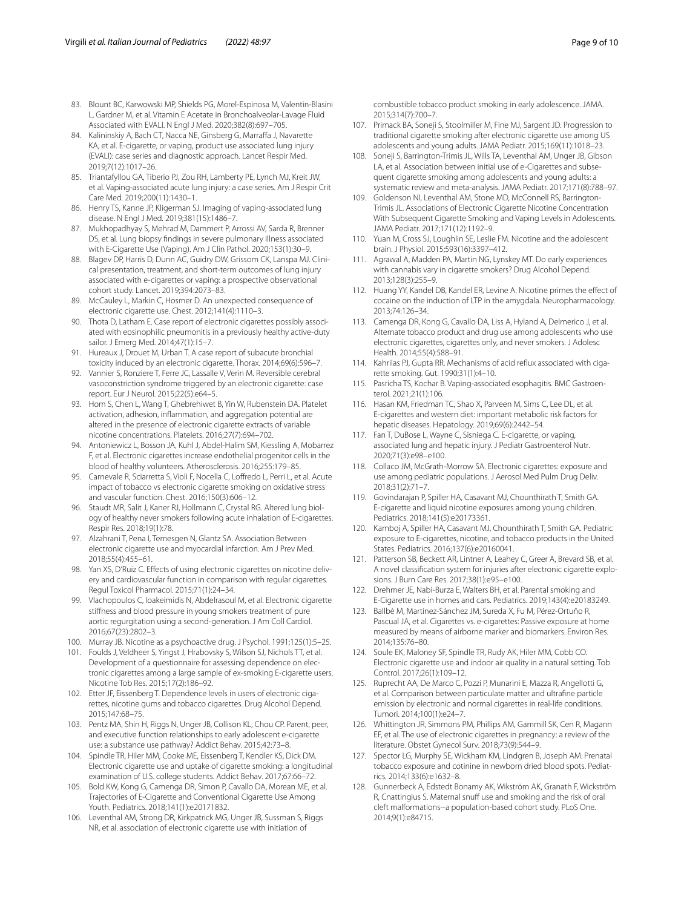- <span id="page-8-0"></span>83. Blount BC, Karwowski MP, Shields PG, Morel-Espinosa M, Valentin-Blasini L, Gardner M, et al. Vitamin E Acetate in Bronchoalveolar-Lavage Fluid Associated with EVALI. N Engl J Med. 2020;382(8):697–705.
- <span id="page-8-4"></span>84. Kalininskiy A, Bach CT, Nacca NE, Ginsberg G, Marraffa J, Navarette KA, et al. E-cigarette, or vaping, product use associated lung injury (EVALI): case series and diagnostic approach. Lancet Respir Med. 2019;7(12):1017–26.
- <span id="page-8-1"></span>85. Triantafyllou GA, Tiberio PJ, Zou RH, Lamberty PE, Lynch MJ, Kreit JW, et al. Vaping-associated acute lung injury: a case series. Am J Respir Crit Care Med. 2019;200(11):1430–1.
- <span id="page-8-2"></span>86. Henry TS, Kanne JP, Kligerman SJ. Imaging of vaping-associated lung disease. N Engl J Med. 2019;381(15):1486–7.
- <span id="page-8-3"></span>87. Mukhopadhyay S, Mehrad M, Dammert P, Arrossi AV, Sarda R, Brenner DS, et al. Lung biopsy fndings in severe pulmonary illness associated with E-Cigarette Use (Vaping). Am J Clin Pathol. 2020;153(1):30–9.
- <span id="page-8-5"></span>88. Blagev DP, Harris D, Dunn AC, Guidry DW, Grissom CK, Lanspa MJ. Clinical presentation, treatment, and short-term outcomes of lung injury associated with e-cigarettes or vaping: a prospective observational cohort study. Lancet. 2019;394:2073–83.
- <span id="page-8-6"></span>89. McCauley L, Markin C, Hosmer D. An unexpected consequence of electronic cigarette use. Chest. 2012;141(4):1110–3.
- 90. Thota D, Latham E. Case report of electronic cigarettes possibly associated with eosinophilic pneumonitis in a previously healthy active-duty sailor. J Emerg Med. 2014;47(1):15–7.
- 91. Hureaux J, Drouet M, Urban T. A case report of subacute bronchial toxicity induced by an electronic cigarette. Thorax. 2014;69(6):596–7.
- <span id="page-8-7"></span>92. Vannier S, Ronziere T, Ferre JC, Lassalle V, Verin M. Reversible cerebral vasoconstriction syndrome triggered by an electronic cigarette: case report. Eur J Neurol. 2015;22(5):e64–5.
- <span id="page-8-8"></span>93. Hom S, Chen L, Wang T, Ghebrehiwet B, Yin W, Rubenstein DA. Platelet activation, adhesion, infammation, and aggregation potential are altered in the presence of electronic cigarette extracts of variable nicotine concentrations. Platelets. 2016;27(7):694–702.
- <span id="page-8-9"></span>94. Antoniewicz L, Bosson JA, Kuhl J, Abdel-Halim SM, Kiessling A, Mobarrez F, et al. Electronic cigarettes increase endothelial progenitor cells in the blood of healthy volunteers. Atherosclerosis. 2016;255:179–85.
- 95. Carnevale R, Sciarretta S, Violi F, Nocella C, Lofredo L, Perri L, et al. Acute impact of tobacco vs electronic cigarette smoking on oxidative stress and vascular function. Chest. 2016;150(3):606–12.
- <span id="page-8-10"></span>Staudt MR, Salit J, Kaner RJ, Hollmann C, Crystal RG. Altered lung biology of healthy never smokers following acute inhalation of E-cigarettes. Respir Res. 2018;19(1):78.
- <span id="page-8-11"></span>97. Alzahrani T, Pena I, Temesgen N, Glantz SA. Association Between electronic cigarette use and myocardial infarction. Am J Prev Med. 2018;55(4):455–61.
- <span id="page-8-12"></span>98. Yan XS, D'Ruiz C. Effects of using electronic cigarettes on nicotine delivery and cardiovascular function in comparison with regular cigarettes. Regul Toxicol Pharmacol. 2015;71(1):24–34.
- <span id="page-8-13"></span>99. Vlachopoulos C, Ioakeimidis N, Abdelrasoul M, et al. Electronic cigarette stifness and blood pressure in young smokers treatment of pure aortic regurgitation using a second-generation. J Am Coll Cardiol. 2016;67(23):2802–3.
- <span id="page-8-14"></span>100. Murray JB. Nicotine as a psychoactive drug. J Psychol. 1991;125(1):5–25.
- <span id="page-8-15"></span>101. Foulds J, Veldheer S, Yingst J, Hrabovsky S, Wilson SJ, Nichols TT, et al. Development of a questionnaire for assessing dependence on electronic cigarettes among a large sample of ex-smoking E-cigarette users. Nicotine Tob Res. 2015;17(2):186–92.
- <span id="page-8-16"></span>102. Etter JF, Eissenberg T. Dependence levels in users of electronic cigarettes, nicotine gums and tobacco cigarettes. Drug Alcohol Depend. 2015;147:68–75.
- <span id="page-8-17"></span>103. Pentz MA, Shin H, Riggs N, Unger JB, Collison KL, Chou CP. Parent, peer, and executive function relationships to early adolescent e-cigarette use: a substance use pathway? Addict Behav. 2015;42:73–8.
- <span id="page-8-18"></span>104. Spindle TR, Hiler MM, Cooke ME, Eissenberg T, Kendler KS, Dick DM. Electronic cigarette use and uptake of cigarette smoking: a longitudinal examination of U.S. college students. Addict Behav. 2017;67:66–72.
- 105. Bold KW, Kong G, Camenga DR, Simon P, Cavallo DA, Morean ME, et al. Trajectories of E-Cigarette and Conventional Cigarette Use Among Youth. Pediatrics. 2018;141(1):e20171832.
- Leventhal AM, Strong DR, Kirkpatrick MG, Unger JB, Sussman S, Riggs NR, et al. association of electronic cigarette use with initiation of

combustible tobacco product smoking in early adolescence. JAMA. 2015;314(7):700–7.

- <span id="page-8-19"></span>107. Primack BA, Soneji S, Stoolmiller M, Fine MJ, Sargent JD. Progression to traditional cigarette smoking after electronic cigarette use among US adolescents and young adults. JAMA Pediatr. 2015;169(11):1018–23.
- <span id="page-8-20"></span>108. Soneji S, Barrington-Trimis JL, Wills TA, Leventhal AM, Unger JB, Gibson LA, et al. Association between initial use of e-Cigarettes and subsequent cigarette smoking among adolescents and young adults: a systematic review and meta-analysis. JAMA Pediatr. 2017;171(8):788–97.
- <span id="page-8-21"></span>109. Goldenson NI, Leventhal AM, Stone MD, McConnell RS, Barrington-Trimis JL. Associations of Electronic Cigarette Nicotine Concentration With Subsequent Cigarette Smoking and Vaping Levels in Adolescents. JAMA Pediatr. 2017;171(12):1192–9.
- <span id="page-8-22"></span>110. Yuan M, Cross SJ, Loughlin SE, Leslie FM. Nicotine and the adolescent brain. J Physiol. 2015;593(16):3397–412.
- <span id="page-8-23"></span>111. Agrawal A, Madden PA, Martin NG, Lynskey MT. Do early experiences with cannabis vary in cigarette smokers? Drug Alcohol Depend. 2013;128(3):255–9.
- <span id="page-8-24"></span>112. Huang YY, Kandel DB, Kandel ER, Levine A. Nicotine primes the efect of cocaine on the induction of LTP in the amygdala. Neuropharmacology. 2013;74:126–34.
- <span id="page-8-25"></span>113. Camenga DR, Kong G, Cavallo DA, Liss A, Hyland A, Delmerico J, et al. Alternate tobacco product and drug use among adolescents who use electronic cigarettes, cigarettes only, and never smokers. J Adolesc Health. 2014;55(4):588–91.
- <span id="page-8-26"></span>114. Kahrilas PJ, Gupta RR. Mechanisms of acid refux associated with cigarette smoking. Gut. 1990;31(1):4–10.
- <span id="page-8-27"></span>115. Pasricha TS, Kochar B. Vaping-associated esophagitis. BMC Gastroenterol. 2021;21(1):106.
- <span id="page-8-28"></span>116. Hasan KM, Friedman TC, Shao X, Parveen M, Sims C, Lee DL, et al. E-cigarettes and western diet: important metabolic risk factors for hepatic diseases. Hepatology. 2019;69(6):2442–54.
- <span id="page-8-29"></span>117. Fan T, DuBose L, Wayne C, Sisniega C. E-cigarette, or vaping, associated lung and hepatic injury. J Pediatr Gastroenterol Nutr. 2020;71(3):e98–e100.
- <span id="page-8-30"></span>118. Collaco JM, McGrath-Morrow SA. Electronic cigarettes: exposure and use among pediatric populations. J Aerosol Med Pulm Drug Deliv. 2018;31(2):71–7.
- <span id="page-8-31"></span>119. Govindarajan P, Spiller HA, Casavant MJ, Chounthirath T, Smith GA. E-cigarette and liquid nicotine exposures among young children. Pediatrics. 2018;141(5):e20173361.
- <span id="page-8-32"></span>120. Kamboj A, Spiller HA, Casavant MJ, Chounthirath T, Smith GA. Pediatric exposure to E-cigarettes, nicotine, and tobacco products in the United States. Pediatrics. 2016;137(6):e20160041.
- <span id="page-8-33"></span>121. Patterson SB, Beckett AR, Lintner A, Leahey C, Greer A, Brevard SB, et al. A novel classifcation system for injuries after electronic cigarette explosions. J Burn Care Res. 2017;38(1):e95–e100.
- <span id="page-8-34"></span>122. Drehmer JE, Nabi-Burza E, Walters BH, et al. Parental smoking and E-Cigarette use in homes and cars. Pediatrics. 2019;143(4):e20183249.
- <span id="page-8-35"></span>123. Ballbè M, Martínez-Sánchez JM, Sureda X, Fu M, Pérez-Ortuño R, Pascual JA, et al. Cigarettes vs. e-cigarettes: Passive exposure at home measured by means of airborne marker and biomarkers. Environ Res. 2014;135:76–80.
- <span id="page-8-36"></span>124. Soule EK, Maloney SF, Spindle TR, Rudy AK, Hiler MM, Cobb CO. Electronic cigarette use and indoor air quality in a natural setting. Tob Control. 2017;26(1):109–12.
- <span id="page-8-37"></span>125. Ruprecht AA, De Marco C, Pozzi P, Munarini E, Mazza R, Angellotti G, et al. Comparison between particulate matter and ultrafne particle emission by electronic and normal cigarettes in real-life conditions. Tumori. 2014;100(1):e24–7.
- <span id="page-8-38"></span>126. Whittington JR, Simmons PM, Phillips AM, Gammill SK, Cen R, Magann EF, et al. The use of electronic cigarettes in pregnancy: a review of the literature. Obstet Gynecol Surv. 2018;73(9):544–9.
- <span id="page-8-39"></span>127. Spector LG, Murphy SE, Wickham KM, Lindgren B, Joseph AM. Prenatal tobacco exposure and cotinine in newborn dried blood spots. Pediatrics. 2014;133(6):e1632–8.
- <span id="page-8-40"></span>128. Gunnerbeck A, Edstedt Bonamy AK, Wikström AK, Granath F, Wickström R, Cnattingius S. Maternal snuff use and smoking and the risk of oral cleft malformations--a population-based cohort study. PLoS One. 2014;9(1):e84715.